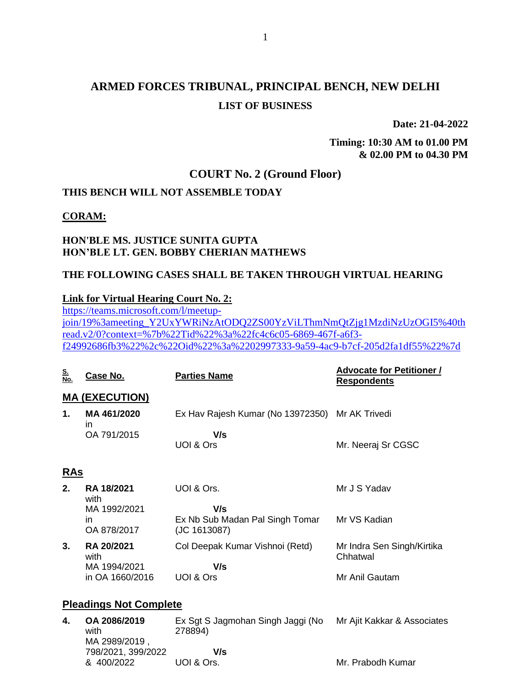# **ARMED FORCES TRIBUNAL, PRINCIPAL BENCH, NEW DELHI LIST OF BUSINESS**

**Date: 21-04-2022**

**Timing: 10:30 AM to 01.00 PM & 02.00 PM to 04.30 PM**

## **COURT No. 2 (Ground Floor)**

## **THIS BENCH WILL NOT ASSEMBLE TODAY**

#### **CORAM:**

### **HON'BLE MS. JUSTICE SUNITA GUPTA HON'BLE LT. GEN. BOBBY CHERIAN MATHEWS**

### **THE FOLLOWING CASES SHALL BE TAKEN THROUGH VIRTUAL HEARING**

### **Link for Virtual Hearing Court No. 2:**

[https://teams.microsoft.com/l/meetup](https://teams.microsoft.com/l/meetup-join/19%3ameeting_Y2UxYWRiNzAtODQ2ZS00YzViLThmNmQtZjg1MzdiNzUzOGI5%40thread.v2/0?context=%7b%22Tid%22%3a%22fc4c6c05-6869-467f-a6f3-f24992686fb3%22%2c%22Oid%22%3a%2202997333-9a59-4ac9-b7cf-205d2fa1df55%22%7d)[join/19%3ameeting\\_Y2UxYWRiNzAtODQ2ZS00YzViLThmNmQtZjg1MzdiNzUzOGI5%40th](https://teams.microsoft.com/l/meetup-join/19%3ameeting_Y2UxYWRiNzAtODQ2ZS00YzViLThmNmQtZjg1MzdiNzUzOGI5%40thread.v2/0?context=%7b%22Tid%22%3a%22fc4c6c05-6869-467f-a6f3-f24992686fb3%22%2c%22Oid%22%3a%2202997333-9a59-4ac9-b7cf-205d2fa1df55%22%7d) [read.v2/0?context=%7b%22Tid%22%3a%22fc4c6c05-6869-467f-a6f3](https://teams.microsoft.com/l/meetup-join/19%3ameeting_Y2UxYWRiNzAtODQ2ZS00YzViLThmNmQtZjg1MzdiNzUzOGI5%40thread.v2/0?context=%7b%22Tid%22%3a%22fc4c6c05-6869-467f-a6f3-f24992686fb3%22%2c%22Oid%22%3a%2202997333-9a59-4ac9-b7cf-205d2fa1df55%22%7d) [f24992686fb3%22%2c%22Oid%22%3a%2202997333-9a59-4ac9-b7cf-205d2fa1df55%22%7d](https://teams.microsoft.com/l/meetup-join/19%3ameeting_Y2UxYWRiNzAtODQ2ZS00YzViLThmNmQtZjg1MzdiNzUzOGI5%40thread.v2/0?context=%7b%22Tid%22%3a%22fc4c6c05-6869-467f-a6f3-f24992686fb3%22%2c%22Oid%22%3a%2202997333-9a59-4ac9-b7cf-205d2fa1df55%22%7d)

| <u>S.</u><br>No.              | Case No.                             | <b>Parties Name</b>                                    | <b>Advocate for Petitioner /</b><br><b>Respondents</b> |
|-------------------------------|--------------------------------------|--------------------------------------------------------|--------------------------------------------------------|
|                               | <b>MA (EXECUTION)</b>                |                                                        |                                                        |
| 1.                            | MA461/2020<br>in                     | Ex Hav Rajesh Kumar (No 13972350)                      | Mr AK Trivedi                                          |
|                               | OA 791/2015                          | V/s<br>UOI & Ors                                       | Mr. Neeraj Sr CGSC                                     |
| <u>RAs</u>                    |                                      |                                                        |                                                        |
| 2.                            | <b>RA 18/2021</b><br>with            | UOI & Ors.                                             | Mr J S Yadav                                           |
|                               | MA 1992/2021<br>in<br>OA 878/2017    | V/s<br>Ex Nb Sub Madan Pal Singh Tomar<br>(JC 1613087) | Mr VS Kadian                                           |
| 3.                            | RA 20/2021<br>with                   | Col Deepak Kumar Vishnoi (Retd)                        | Mr Indra Sen Singh/Kirtika<br>Chhatwal                 |
|                               | MA 1994/2021<br>in OA 1660/2016      | V/s<br>UOI & Ors                                       | Mr Anil Gautam                                         |
| <b>Pleadings Not Complete</b> |                                      |                                                        |                                                        |
| 4.                            | OA 2086/2019<br>with<br>MA 2989/2019 | Ex Sgt S Jagmohan Singh Jaggi (No<br>278894)           | Mr Ajit Kakkar & Associates                            |

MA 2989/2019 , 798/2021, 399/2022 & 400/2022  **V/s** UOI & Ors. Mr. Prabodh Kumar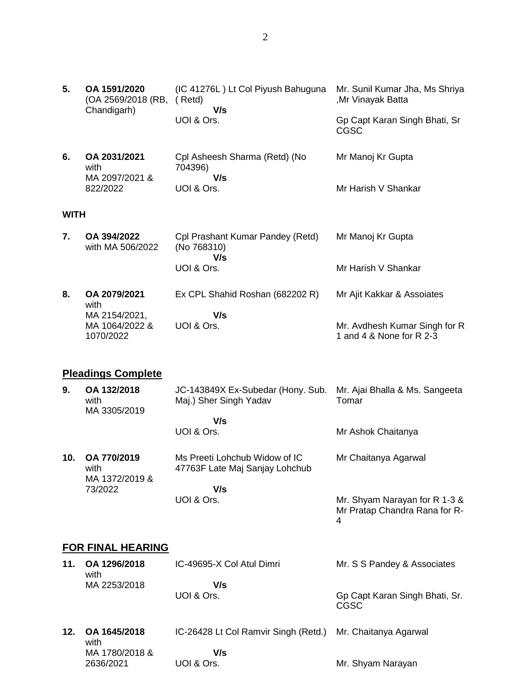| 5.          | OA 1591/2020<br>(OA 2569/2018 (RB,           | (IC 41276L) Lt Col Piyush Bahuguna<br>(Retd)                    | Mr. Sunil Kumar Jha, Ms Shriya<br>,Mr Vinayak Batta                 |
|-------------|----------------------------------------------|-----------------------------------------------------------------|---------------------------------------------------------------------|
|             | Chandigarh)                                  | V/s<br>UOI & Ors.                                               | Gp Capt Karan Singh Bhati, Sr<br><b>CGSC</b>                        |
| 6.          | OA 2031/2021<br>with<br>MA 2097/2021 &       | Cpl Asheesh Sharma (Retd) (No<br>704396)<br>V/s                 | Mr Manoj Kr Gupta                                                   |
|             | 822/2022                                     | UOI & Ors.                                                      | Mr Harish V Shankar                                                 |
| <b>WITH</b> |                                              |                                                                 |                                                                     |
| 7.          | OA 394/2022<br>with MA 506/2022              | Cpl Prashant Kumar Pandey (Retd)<br>(No 768310)<br>V/s          | Mr Manoj Kr Gupta                                                   |
|             |                                              | UOI & Ors.                                                      | Mr Harish V Shankar                                                 |
| 8.          | OA 2079/2021<br>with                         | Ex CPL Shahid Roshan (682202 R)                                 | Mr Ajit Kakkar & Assoiates                                          |
|             | MA 2154/2021,<br>MA 1064/2022 &<br>1070/2022 | V/s<br>UOI & Ors.                                               | Mr. Avdhesh Kumar Singh for R<br>1 and 4 & None for R 2-3           |
|             |                                              |                                                                 |                                                                     |
|             | <b>Pleadings Complete</b>                    |                                                                 |                                                                     |
| 9.          | OA 132/2018<br>with<br>MA 3305/2019          | JC-143849X Ex-Subedar (Hony. Sub.<br>Maj.) Sher Singh Yadav     | Mr. Ajai Bhalla & Ms. Sangeeta<br>Tomar                             |
|             |                                              | V/s<br>UOI & Ors.                                               | Mr Ashok Chaitanya                                                  |
| 10.         | OA 770/2019<br>with                          | Ms Preeti Lohchub Widow of IC<br>47763F Late Maj Sanjay Lohchub | Mr Chaitanya Agarwal                                                |
|             | MA 1372/2019 &<br>73/2022                    | V/s<br>UOI & Ors.                                               | Mr. Shyam Narayan for R 1-3 &<br>Mr Pratap Chandra Rana for R-<br>4 |
|             | <b>FOR FINAL HEARING</b>                     |                                                                 |                                                                     |
| 11.         | OA 1296/2018<br>with                         | IC-49695-X Col Atul Dimri                                       | Mr. S S Pandey & Associates                                         |
|             | MA 2253/2018                                 | V/s<br>UOI & Ors.                                               | Gp Capt Karan Singh Bhati, Sr.<br><b>CGSC</b>                       |

 **V/s** UOI & Ors.

MA 1780/2018 & 2636/2021

## Mr. Shyam Narayan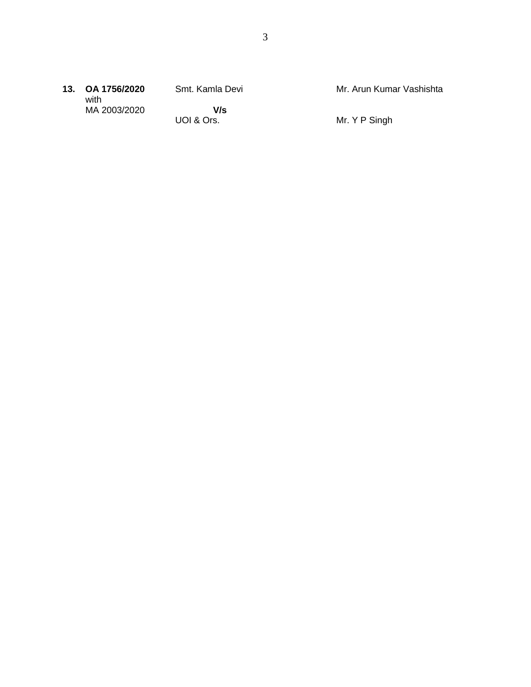|  | 13. OA 1756/2020<br>with | Smt. Kamla Devi | Mr. Arun Kumar Vashishta |
|--|--------------------------|-----------------|--------------------------|
|  | MA 2003/2020             | V/s             |                          |
|  |                          | UOI & Ors.      | Mr. Y P Singh            |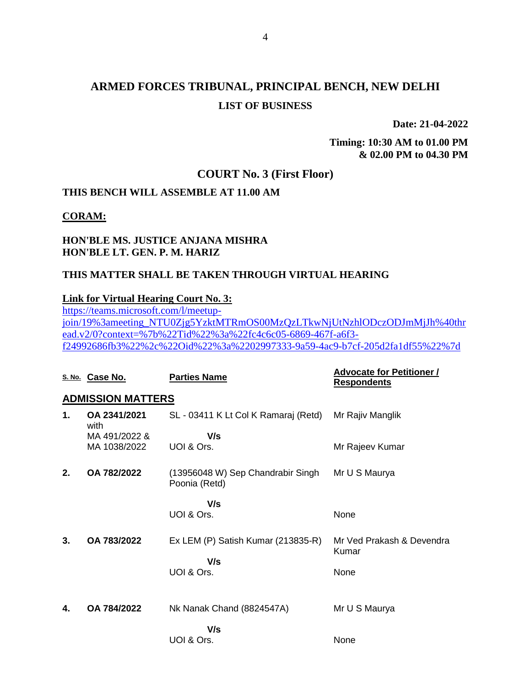# **ARMED FORCES TRIBUNAL, PRINCIPAL BENCH, NEW DELHI LIST OF BUSINESS**

**Date: 21-04-2022**

**Timing: 10:30 AM to 01.00 PM & 02.00 PM to 04.30 PM**

### **COURT No. 3 (First Floor)**

### **THIS BENCH WILL ASSEMBLE AT 11.00 AM**

### **CORAM:**

### **HON'BLE MS. JUSTICE ANJANA MISHRA HON'BLE LT. GEN. P. M. HARIZ**

### **THIS MATTER SHALL BE TAKEN THROUGH VIRTUAL HEARING**

### **Link for Virtual Hearing Court No. 3:**

[https://teams.microsoft.com/l/meetup](https://teams.microsoft.com/l/meetup-join/19%3ameeting_NTU0Zjg5YzktMTRmOS00MzQzLTkwNjUtNzhlODczODJmMjJh%40thread.v2/0?context=%7b%22Tid%22%3a%22fc4c6c05-6869-467f-a6f3-f24992686fb3%22%2c%22Oid%22%3a%2202997333-9a59-4ac9-b7cf-205d2fa1df55%22%7d)[join/19%3ameeting\\_NTU0Zjg5YzktMTRmOS00MzQzLTkwNjUtNzhlODczODJmMjJh%40thr](https://teams.microsoft.com/l/meetup-join/19%3ameeting_NTU0Zjg5YzktMTRmOS00MzQzLTkwNjUtNzhlODczODJmMjJh%40thread.v2/0?context=%7b%22Tid%22%3a%22fc4c6c05-6869-467f-a6f3-f24992686fb3%22%2c%22Oid%22%3a%2202997333-9a59-4ac9-b7cf-205d2fa1df55%22%7d) [ead.v2/0?context=%7b%22Tid%22%3a%22fc4c6c05-6869-467f-a6f3](https://teams.microsoft.com/l/meetup-join/19%3ameeting_NTU0Zjg5YzktMTRmOS00MzQzLTkwNjUtNzhlODczODJmMjJh%40thread.v2/0?context=%7b%22Tid%22%3a%22fc4c6c05-6869-467f-a6f3-f24992686fb3%22%2c%22Oid%22%3a%2202997333-9a59-4ac9-b7cf-205d2fa1df55%22%7d) [f24992686fb3%22%2c%22Oid%22%3a%2202997333-9a59-4ac9-b7cf-205d2fa1df55%22%7d](https://teams.microsoft.com/l/meetup-join/19%3ameeting_NTU0Zjg5YzktMTRmOS00MzQzLTkwNjUtNzhlODczODJmMjJh%40thread.v2/0?context=%7b%22Tid%22%3a%22fc4c6c05-6869-467f-a6f3-f24992686fb3%22%2c%22Oid%22%3a%2202997333-9a59-4ac9-b7cf-205d2fa1df55%22%7d)

|    | S. No. Case No.               | <b>Parties Name</b>                                | <b>Advocate for Petitioner /</b><br><b>Respondents</b> |
|----|-------------------------------|----------------------------------------------------|--------------------------------------------------------|
|    | <b>ADMISSION MATTERS</b>      |                                                    |                                                        |
| 1. | OA 2341/2021<br>with          | SL - 03411 K Lt Col K Ramaraj (Retd)               | Mr Rajiv Manglik                                       |
|    | MA 491/2022 &<br>MA 1038/2022 | V/s<br>UOI & Ors.                                  | Mr Rajeev Kumar                                        |
| 2. | OA 782/2022                   | (13956048 W) Sep Chandrabir Singh<br>Poonia (Retd) | Mr U S Maurya                                          |
|    |                               | V/s                                                |                                                        |
|    |                               | UOI & Ors.                                         | None                                                   |
| 3. | OA 783/2022                   | Ex LEM (P) Satish Kumar (213835-R)                 | Mr Ved Prakash & Devendra<br>Kumar                     |
|    |                               | V/s<br>UOI & Ors.                                  | None                                                   |
| 4. | OA 784/2022                   | Nk Nanak Chand (8824547A)                          | Mr U S Maurya                                          |
|    |                               | V/s<br>UOI & Ors.                                  | None                                                   |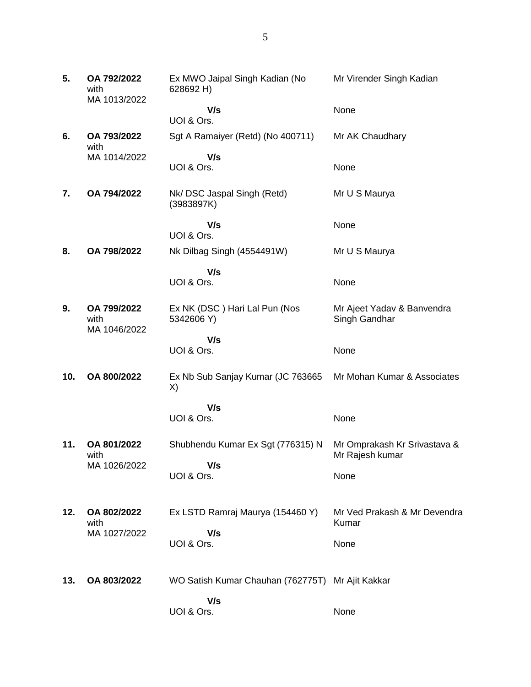| 5.  | OA 792/2022<br>with<br>MA 1013/2022 | Ex MWO Jaipal Singh Kadian (No<br>628692 H)      | Mr Virender Singh Kadian                        |
|-----|-------------------------------------|--------------------------------------------------|-------------------------------------------------|
|     |                                     | V/s<br>UOI & Ors.                                | None                                            |
| 6.  | OA 793/2022<br>with                 | Sgt A Ramaiyer (Retd) (No 400711)                | Mr AK Chaudhary                                 |
|     | MA 1014/2022                        | V/s<br>UOI & Ors.                                | None                                            |
| 7.  | OA 794/2022                         | Nk/DSC Jaspal Singh (Retd)<br>(3983897K)         | Mr U S Maurya                                   |
|     |                                     | V/s<br>UOI & Ors.                                | None                                            |
| 8.  | OA 798/2022                         | Nk Dilbag Singh (4554491W)                       | Mr U S Maurya                                   |
|     |                                     | V/s<br>UOI & Ors.                                | None                                            |
| 9.  | OA 799/2022<br>with                 | Ex NK (DSC) Hari Lal Pun (Nos<br>5342606 Y)      | Mr Ajeet Yadav & Banvendra<br>Singh Gandhar     |
|     | MA 1046/2022                        | V/s                                              |                                                 |
|     |                                     | UOI & Ors.                                       | None                                            |
| 10. | OA 800/2022                         | Ex Nb Sub Sanjay Kumar (JC 763665<br>X)          | Mr Mohan Kumar & Associates                     |
|     |                                     | V/s                                              |                                                 |
|     |                                     | UOI & Ors.                                       | None                                            |
| 11. | OA 801/2022<br>with                 | Shubhendu Kumar Ex Sgt (776315) N                | Mr Omprakash Kr Srivastava &<br>Mr Rajesh kumar |
|     | MA 1026/2022                        | V/s<br>UOI & Ors.                                | None                                            |
| 12. | OA 802/2022<br>with                 | Ex LSTD Ramraj Maurya (154460 Y)                 | Mr Ved Prakash & Mr Devendra<br>Kumar           |
|     | MA 1027/2022                        | V/s<br>UOI & Ors.                                | None                                            |
| 13. | OA 803/2022                         | WO Satish Kumar Chauhan (762775T) Mr Ajit Kakkar |                                                 |
|     |                                     | V/s<br>UOI & Ors.                                | None                                            |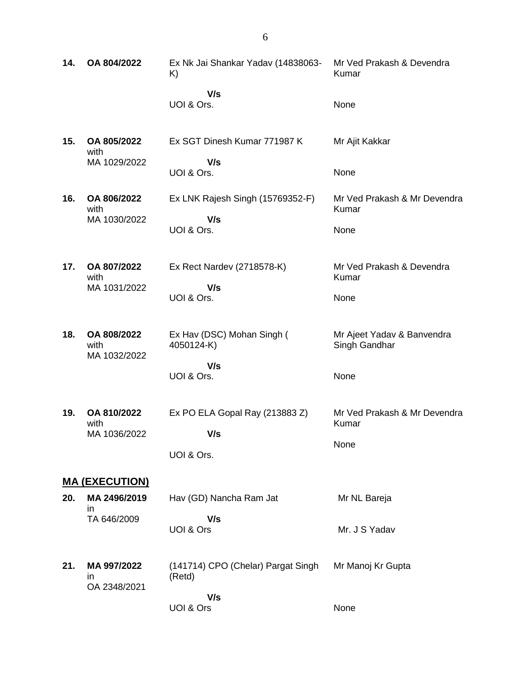| 14. | OA 804/2022                         | Ex Nk Jai Shankar Yadav (14838063-<br>K)                         | Mr Ved Prakash & Devendra<br>Kumar                  |  |
|-----|-------------------------------------|------------------------------------------------------------------|-----------------------------------------------------|--|
|     |                                     | V/s<br>UOI & Ors.                                                | None                                                |  |
| 15. | OA 805/2022<br>with<br>MA 1029/2022 | Ex SGT Dinesh Kumar 771987 K<br>V/s<br>UOI & Ors.                | Mr Ajit Kakkar<br>None                              |  |
| 16. | OA 806/2022<br>with<br>MA 1030/2022 | Ex LNK Rajesh Singh (15769352-F)<br>V/s<br>UOI & Ors.            | Mr Ved Prakash & Mr Devendra<br>Kumar<br>None       |  |
| 17. | OA 807/2022<br>with<br>MA 1031/2022 | Ex Rect Nardev (2718578-K)<br>V/s<br>UOI & Ors.                  | Mr Ved Prakash & Devendra<br>Kumar<br>None          |  |
| 18. | OA 808/2022<br>with<br>MA 1032/2022 | Ex Hav (DSC) Mohan Singh (<br>4050124-K)<br>V/s<br>UOI & Ors.    | Mr Ajeet Yadav & Banvendra<br>Singh Gandhar<br>None |  |
| 19. | OA 810/2022<br>with<br>MA 1036/2022 | Ex PO ELA Gopal Ray (213883 Z)<br>V/s<br>UOI & Ors.              | Mr Ved Prakash & Mr Devendra<br>Kumar<br>None       |  |
|     | <u>MA (EXECUTION)</u>               |                                                                  |                                                     |  |
| 20. | MA 2496/2019                        | Hav (GD) Nancha Ram Jat                                          | Mr NL Bareja                                        |  |
|     | ın<br>TA 646/2009                   | V/s<br>UOI & Ors                                                 | Mr. J S Yadav                                       |  |
| 21. | MA 997/2022<br>ın<br>OA 2348/2021   | (141714) CPO (Chelar) Pargat Singh<br>(Retd)<br>V/s<br>UOI & Ors | Mr Manoj Kr Gupta<br>None                           |  |

6